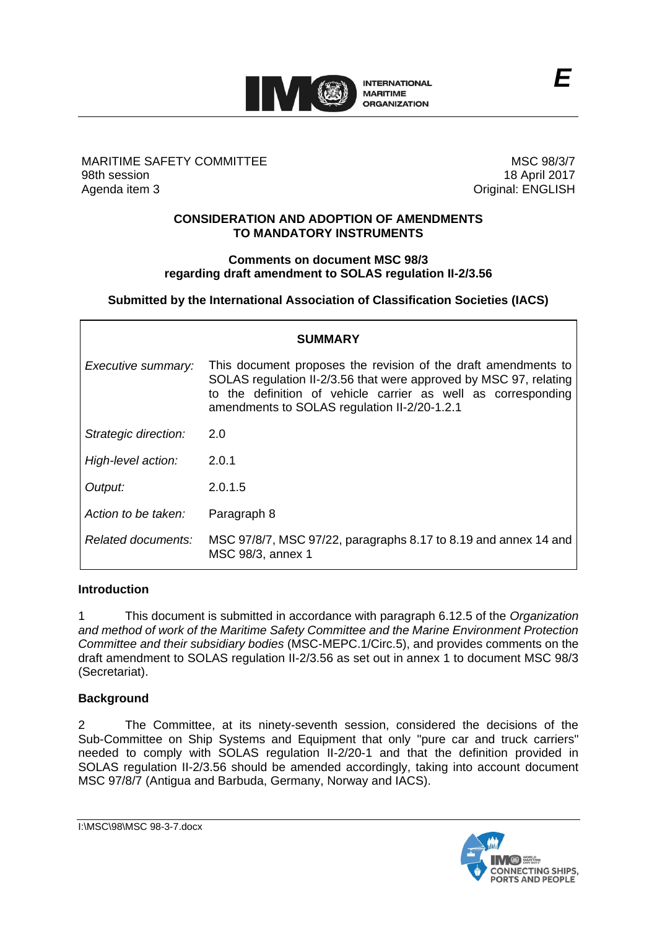

### MARITIME SAFETY COMMITTEE 98th session Agenda item 3

MSC 98/3/7 18 April 2017 Original: ENGLISH

### **CONSIDERATION AND ADOPTION OF AMENDMENTS TO MANDATORY INSTRUMENTS**

### **Comments on document MSC 98/3 regarding draft amendment to SOLAS regulation II-2/3.56**

**Submitted by the International Association of Classification Societies (IACS)**

| SUMMARY              |                                                                                                                                                                                                                                                      |
|----------------------|------------------------------------------------------------------------------------------------------------------------------------------------------------------------------------------------------------------------------------------------------|
| Executive summary:   | This document proposes the revision of the draft amendments to<br>SOLAS regulation II-2/3.56 that were approved by MSC 97, relating<br>to the definition of vehicle carrier as well as corresponding<br>amendments to SOLAS regulation II-2/20-1.2.1 |
| Strategic direction: | 2.0                                                                                                                                                                                                                                                  |
| High-level action:   | 2.0.1                                                                                                                                                                                                                                                |
| Output:              | 2.0.1.5                                                                                                                                                                                                                                              |
| Action to be taken:  | Paragraph 8                                                                                                                                                                                                                                          |
| Related documents:   | MSC 97/8/7, MSC 97/22, paragraphs 8.17 to 8.19 and annex 14 and<br>MSC 98/3, annex 1                                                                                                                                                                 |

### **Introduction**

1 This document is submitted in accordance with paragraph 6.12.5 of the *Organization and method of work of the Maritime Safety Committee and the Marine Environment Protection Committee and their subsidiary bodies* (MSC-MEPC.1/Circ.5), and provides comments on the draft amendment to SOLAS regulation II-2/3.56 as set out in annex 1 to document MSC 98/3 (Secretariat).

# **Background**

2 The Committee, at its ninety-seventh session, considered the decisions of the Sub-Committee on Ship Systems and Equipment that only "pure car and truck carriers" needed to comply with SOLAS regulation II-2/20-1 and that the definition provided in SOLAS regulation II-2/3.56 should be amended accordingly, taking into account document MSC 97/8/7 (Antigua and Barbuda, Germany, Norway and IACS).